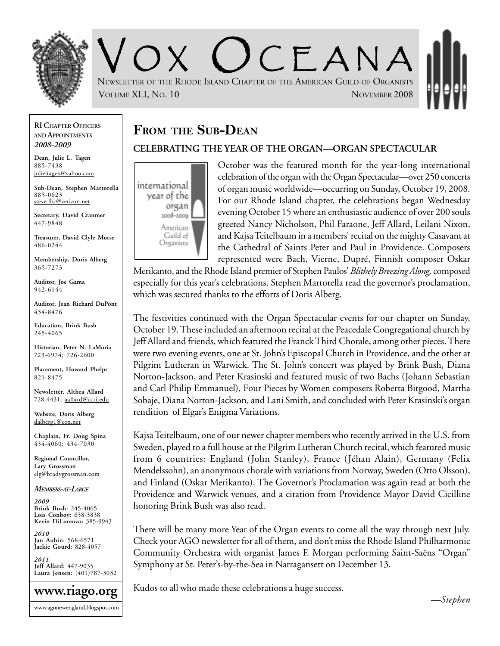

 $C$   $F$   $A$  N  $A$ NEWSLETTER OF THE RHODE ISLAND CHAPTER OF THE AMERICAN GUILD OF ORGANISTS VOLUME XLI, NO. 10 NOVEMBER 2008

#### **RI CHAPTER OFFICERS AND APPOINTMENTS** *2008-2009*

**Dean, Julie L. Tagen** 885-7438 julieltagen@yahoo.com

**Sub-Dean, Stephen Martorella** 885-0623 steve.fbc@verizon.net

**Secretary, David Cranmer** 447-9848

**Treasurer, David Clyle Morse** 486-0244

**Membership, Doris Alberg** 365-7273

**Auditor, Joe Gama** 942-6144

**Auditor, Jean Richard DuPont** 434-8476

**Education, Brink Bush** 245-4065

**Historian, Peter N. LaMoria** 723-6974; 726-2600

**Placement, Howard Phelps** 821-8475

**Newsletter, Althea Allard** 728-4431; aallard@ccri.edu

**Website**, **Doris Alberg** dalberg1@cox.net

**Chaplain, Fr. Doug Spina** 434-4060; 434-7030

**Regional Councillor, Lary Grossman** elg@bradygrossman.com

*MEMBERS-AT-LARGE*

*2009* **Brink Bush:** 245-4065 **Lois Conboy:** 658-3838 **Kevin DiLorenzo:** 385-9943

*2010* **Jan Aubin:** 568-6571 **Jackie Gourd:** 828-4057

*2011* **Jeff Allard:** 447-9035 **Laura Jensen:** (401)787-3032



# **FROM THE SUB-DEAN**

#### **CELEBRATING THE YEAR OF THE ORGAN—ORGAN SPECTACULAR**



October was the featured month for the year-long international celebration of the organ with the Organ Spectacular—over 250 concerts of organ music worldwide—occurring on Sunday, October 19, 2008. For our Rhode Island chapter, the celebrations began Wednesday evening October 15 where an enthusiastic audience of over 200 souls greeted Nancy Nicholson, Phil Faraone, Jeff Allard, Leilani Nixon, and Kajsa Teitelbaum in a members' recital on the mighty Casavant at the Cathedral of Saints Peter and Paul in Providence. Composers represented were Bach, Vierne, Dupré, Finnish composer Oskar

Merikanto, and the Rhode Island premier of Stephen Paulos' *Blithely Breezing Along,* composed especially for this year's celebrations. Stephen Martorella read the governor's proclamation, which was secured thanks to the efforts of Doris Alberg.

The festivities continued with the Organ Spectacular events for our chapter on Sunday, October 19. These included an afternoon recital at the Peacedale Congregational church by Jeff Allard and friends, which featured the Franck Third Chorale, among other pieces. There were two evening events, one at St. John's Episcopal Church in Providence, and the other at Pilgrim Lutheran in Warwick. The St. John's concert was played by Brink Bush, Diana Norton-Jackson, and Peter Krasinski and featured music of two Bachs (Johann Sebastian and Carl Philip Emmanuel), Four Pieces by Women composers Roberta Bitgood, Martha Sobaje, Diana Norton-Jackson, and Lani Smith, and concluded with Peter Krasinski's organ rendition of Elgar's Enigma Variations.

Kajsa Teitelbaum, one of our newer chapter members who recently arrived in the U.S. from Sweden, played to a full house at the Pilgrim Lutheran Church recital, which featured music from 6 countries: England (John Stanley), France (Jéhan Alain), Germany (Felix Mendelssohn), an anonymous chorale with variations from Norway, Sweden (Otto Olsson), and Finland (Oskar Merikanto). The Governor's Proclamation was again read at both the Providence and Warwick venues, and a citation from Providence Mayor David Cicilline honoring Brink Bush was also read.

There will be many more Year of the Organ events to come all the way through next July. Check your AGO newsletter for all of them, and don't miss the Rhode Island Philharmonic Community Orchestra with organist James F. Morgan performing Saint-Saëns "Organ" Symphony at St. Peter's-by-the-Sea in Narragansett on December 13.

Kudos to all who made these celebrations a huge success.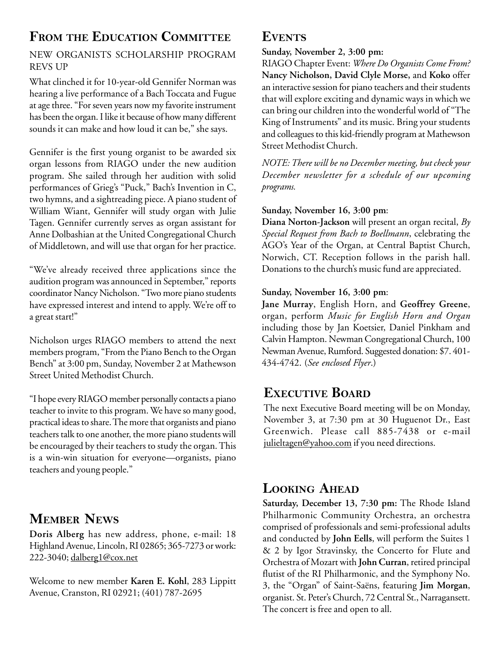# **FROM THE EDUCATION COMMITTEE**

#### NEW ORGANISTS SCHOLARSHIP PROGRAM REVS UP

What clinched it for 10-year-old Gennifer Norman was hearing a live performance of a Bach Toccata and Fugue at age three. "For seven years now my favorite instrument has been the organ. I like it because of how many different sounds it can make and how loud it can be," she says.

Gennifer is the first young organist to be awarded six organ lessons from RIAGO under the new audition program. She sailed through her audition with solid performances of Grieg's "Puck," Bach's Invention in C, two hymns, and a sightreading piece. A piano student of William Wiant, Gennifer will study organ with Julie Tagen. Gennifer currently serves as organ assistant for Anne Dolbashian at the United Congregational Church of Middletown, and will use that organ for her practice.

"We've already received three applications since the audition program was announced in September," reports coordinator Nancy Nicholson. "Two more piano students have expressed interest and intend to apply. We're off to a great start!"

Nicholson urges RIAGO members to attend the next members program, "From the Piano Bench to the Organ Bench" at 3:00 pm, Sunday, November 2 at Mathewson Street United Methodist Church.

"I hope every RIAGO member personally contacts a piano teacher to invite to this program. We have so many good, practical ideas to share. The more that organists and piano teachers talk to one another, the more piano students will be encouraged by their teachers to study the organ. This is a win-win situation for everyone—organists, piano teachers and young people."

# **MEMBER NEWS**

**Doris Alberg** has new address, phone, e-mail: 18 Highland Avenue, Lincoln, RI 02865; 365-7273 or work: 222-3040; dalberg1@cox.net

Welcome to new member **Karen E. Kohl**, 283 Lippitt Avenue, Cranston, RI 02921; (401) 787-2695

## **EVENTS**

**Sunday, November 2, 3:00 pm:**

RIAGO Chapter Event: *Where Do Organists Come From?* **Nancy Nicholson, David Clyle Morse,** and **Koko** offer an interactive session for piano teachers and their students that will explore exciting and dynamic ways in which we can bring our children into the wonderful world of "The King of Instruments" and its music. Bring your students and colleagues to this kid-friendly program at Mathewson Street Methodist Church.

*NOTE: There will be no December meeting, but check your December newsletter for a schedule of our upcoming programs.*

#### **Sunday, November 16, 3:00 pm**:

**Diana Norton-Jackson** will present an organ recital, *By Special Request from Bach to Boellmann*, celebrating the AGO's Year of the Organ, at Central Baptist Church, Norwich, CT. Reception follows in the parish hall. Donations to the church's music fund are appreciated.

#### **Sunday, November 16, 3:00 pm**:

**Jane Murray**, English Horn, and **Geoffrey Greene**, organ, perform *Music for English Horn and Organ* including those by Jan Koetsier, Daniel Pinkham and Calvin Hampton. Newman Congregational Church, 100 Newman Avenue, Rumford. Suggested donation: \$7. 401- 434-4742. (*See enclosed Flyer*.)

# **EXECUTIVE BOARD**

The next Executive Board meeting will be on Monday, November 3, at 7:30 pm at 30 Huguenot Dr., East Greenwich. Please call 885-7438 or e-mail julieltagen@yahoo.com if you need directions.

## **LOOKING AHEAD**

**Saturday, December 13, 7:30 pm:** The Rhode Island Philharmonic Community Orchestra, an orchestra comprised of professionals and semi-professional adults and conducted by **John Eells**, will perform the Suites 1 & 2 by Igor Stravinsky, the Concerto for Flute and Orchestra of Mozart with **John Curran**, retired principal flutist of the RI Philharmonic, and the Symphony No. 3, the "Organ" of Saint-Saëns, featuring **Jim Morgan**, organist. St. Peter's Church, 72 Central St., Narragansett. The concert is free and open to all.